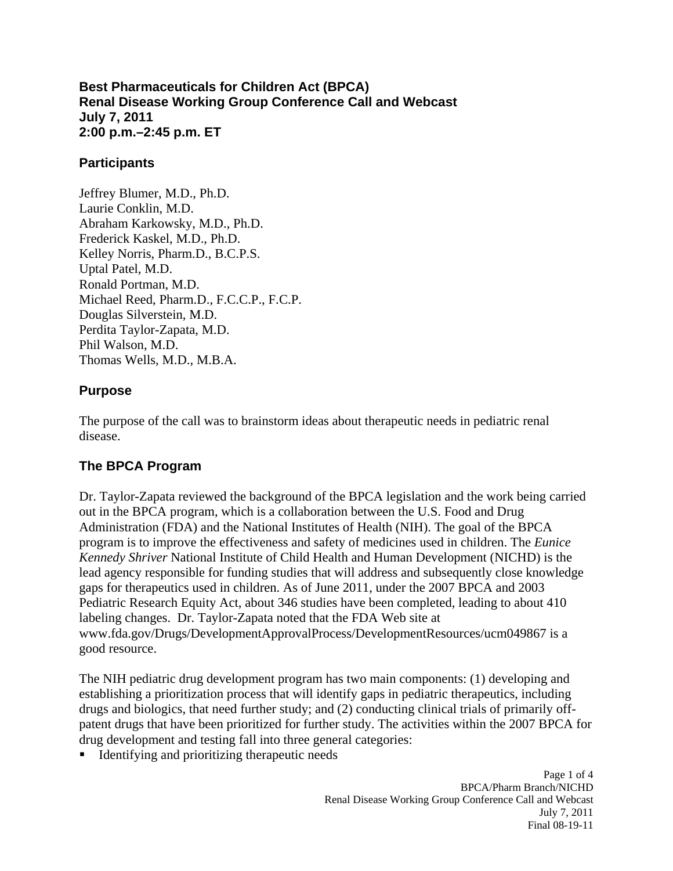**Best Pharmaceuticals for Children Act (BPCA) Renal Disease Working Group Conference Call and Webcast July 7, 2011 2:00 p.m.–2:45 p.m. ET** 

#### **Participants**

Jeffrey Blumer, M.D., Ph.D. Laurie Conklin, M.D. Abraham Karkowsky, M.D., Ph.D. Frederick Kaskel, M.D., Ph.D. Kelley Norris, Pharm.D., B.C.P.S. Uptal Patel, M.D. Ronald Portman, M.D. Michael Reed, Pharm.D., F.C.C.P., F.C.P. Douglas Silverstein, M.D. Perdita Taylor-Zapata, M.D. Phil Walson, M.D. Thomas Wells, M.D., M.B.A.

### **Purpose**

The purpose of the call was to brainstorm ideas about therapeutic needs in pediatric renal disease.

# **The BPCA Program**

Dr. Taylor-Zapata reviewed the background of the BPCA legislation and the work being carried out in the BPCA program, which is a collaboration between the U.S. Food and Drug Administration (FDA) and the National Institutes of Health (NIH). The goal of the BPCA program is to improve the effectiveness and safety of medicines used in children. The *Eunice Kennedy Shriver* National Institute of Child Health and Human Development (NICHD) is the lead agency responsible for funding studies that will address and subsequently close knowledge gaps for therapeutics used in children. As of June 2011, under the 2007 BPCA and 2003 Pediatric Research Equity Act, about 346 studies have been completed, leading to about 410 labeling changes. Dr. Taylor-Zapata noted that the FDA Web site at www.fda.gov/Drugs/DevelopmentApprovalProcess/DevelopmentResources/ucm049867 is a good resource.

The NIH pediatric drug development program has two main components: (1) developing and establishing a prioritization process that will identify gaps in pediatric therapeutics, including drugs and biologics, that need further study; and (2) conducting clinical trials of primarily offpatent drugs that have been prioritized for further study. The activities within the 2007 BPCA for drug development and testing fall into three general categories:

■ Identifying and prioritizing therapeutic needs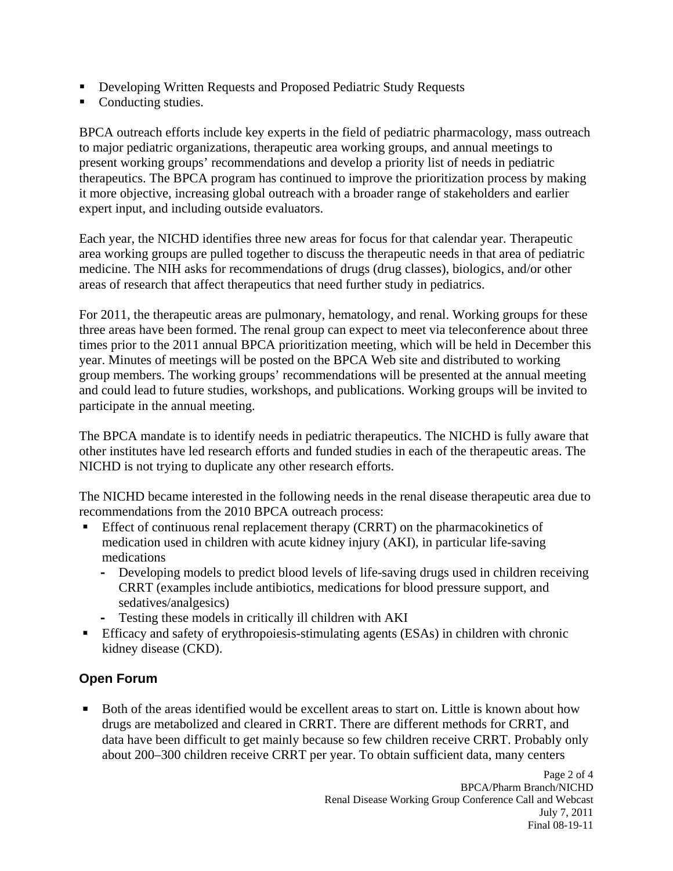- **Developing Written Requests and Proposed Pediatric Study Requests**
- **Conducting studies.**

BPCA outreach efforts include key experts in the field of pediatric pharmacology, mass outreach to major pediatric organizations, therapeutic area working groups, and annual meetings to present working groups' recommendations and develop a priority list of needs in pediatric therapeutics. The BPCA program has continued to improve the prioritization process by making it more objective, increasing global outreach with a broader range of stakeholders and earlier expert input, and including outside evaluators.

Each year, the NICHD identifies three new areas for focus for that calendar year. Therapeutic area working groups are pulled together to discuss the therapeutic needs in that area of pediatric medicine. The NIH asks for recommendations of drugs (drug classes), biologics, and/or other areas of research that affect therapeutics that need further study in pediatrics.

For 2011, the therapeutic areas are pulmonary, hematology, and renal. Working groups for these three areas have been formed. The renal group can expect to meet via teleconference about three times prior to the 2011 annual BPCA prioritization meeting, which will be held in December this year. Minutes of meetings will be posted on the BPCA Web site and distributed to working group members. The working groups' recommendations will be presented at the annual meeting and could lead to future studies, workshops, and publications. Working groups will be invited to participate in the annual meeting.

The BPCA mandate is to identify needs in pediatric therapeutics. The NICHD is fully aware that other institutes have led research efforts and funded studies in each of the therapeutic areas. The NICHD is not trying to duplicate any other research efforts.

The NICHD became interested in the following needs in the renal disease therapeutic area due to recommendations from the 2010 BPCA outreach process:

- **Effect of continuous renal replacement therapy (CRRT) on the pharmacokinetics of** medication used in children with acute kidney injury (AKI), in particular life-saving medications
	- **-** Developing models to predict blood levels of life-saving drugs used in children receiving CRRT (examples include antibiotics, medications for blood pressure support, and sedatives/analgesics)
	- **-** Testing these models in critically ill children with AKI
- **Efficacy and safety of erythropoiesis-stimulating agents (ESAs) in children with chronic** kidney disease (CKD).

# **Open Forum**

 Both of the areas identified would be excellent areas to start on. Little is known about how drugs are metabolized and cleared in CRRT. There are different methods for CRRT, and data have been difficult to get mainly because so few children receive CRRT. Probably only about 200–300 children receive CRRT per year. To obtain sufficient data, many centers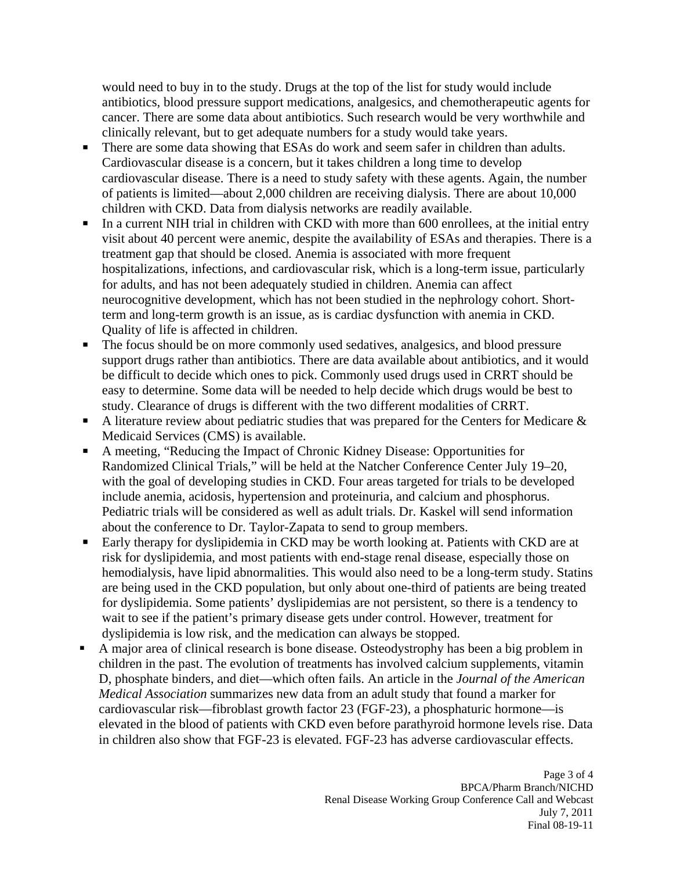would need to buy in to the study. Drugs at the top of the list for study would include antibiotics, blood pressure support medications, analgesics, and chemotherapeutic agents for cancer. There are some data about antibiotics. Such research would be very worthwhile and clinically relevant, but to get adequate numbers for a study would take years.

- $\blacksquare$  . There are some data showing that ESAs do work and seem safer in children than adults. Cardiovascular disease is a concern, but it takes children a long time to develop cardiovascular disease. There is a need to study safety with these agents. Again, the number of patients is limited—about 2,000 children are receiving dialysis. There are about 10,000 children with CKD. Data from dialysis networks are readily available.
- In a current NIH trial in children with CKD with more than 600 enrollees, at the initial entry visit about 40 percent were anemic, despite the availability of ESAs and therapies. There is a treatment gap that should be closed. Anemia is associated with more frequent hospitalizations, infections, and cardiovascular risk, which is a long-term issue, particularly for adults, and has not been adequately studied in children. Anemia can affect neurocognitive development, which has not been studied in the nephrology cohort. Shortterm and long-term growth is an issue, as is cardiac dysfunction with anemia in CKD. Quality of life is affected in children.
- The focus should be on more commonly used sedatives, analgesics, and blood pressure support drugs rather than antibiotics. There are data available about antibiotics, and it would be difficult to decide which ones to pick. Commonly used drugs used in CRRT should be easy to determine. Some data will be needed to help decide which drugs would be best to study. Clearance of drugs is different with the two different modalities of CRRT.
- A literature review about pediatric studies that was prepared for the Centers for Medicare  $\&$ Medicaid Services (CMS) is available.
- A meeting, "Reducing the Impact of Chronic Kidney Disease: Opportunities for Randomized Clinical Trials," will be held at the Natcher Conference Center July 19–20, with the goal of developing studies in CKD. Four areas targeted for trials to be developed include anemia, acidosis, hypertension and proteinuria, and calcium and phosphorus. Pediatric trials will be considered as well as adult trials. Dr. Kaskel will send information about the conference to Dr. Taylor-Zapata to send to group members.
- $\blacksquare$  Early therapy for dyslipidemia in CKD may be worth looking at. Patients with CKD are at risk for dyslipidemia, and most patients with end-stage renal disease, especially those on hemodialysis, have lipid abnormalities. This would also need to be a long-term study. Statins are being used in the CKD population, but only about one-third of patients are being treated for dyslipidemia. Some patients' dyslipidemias are not persistent, so there is a tendency to wait to see if the patient's primary disease gets under control. However, treatment for dyslipidemia is low risk, and the medication can always be stopped.
- A major area of clinical research is bone disease. Osteodystrophy has been a big problem in children in the past. The evolution of treatments has involved calcium supplements, vitamin D, phosphate binders, and diet—which often fails. An article in the *Journal of the American Medical Association* summarizes new data from an adult study that found a marker for cardiovascular risk—fibroblast growth factor 23 (FGF-23), a phosphaturic hormone—is elevated in the blood of patients with CKD even before parathyroid hormone levels rise. Data in children also show that FGF-23 is elevated. FGF-23 has adverse cardiovascular effects.